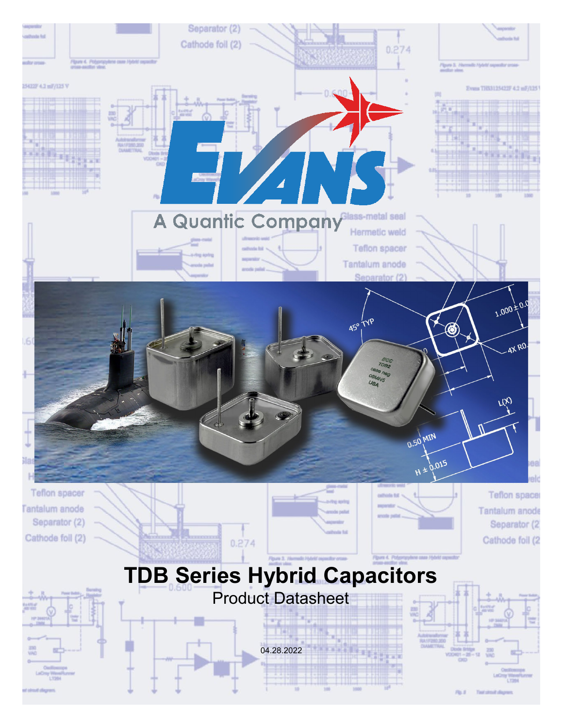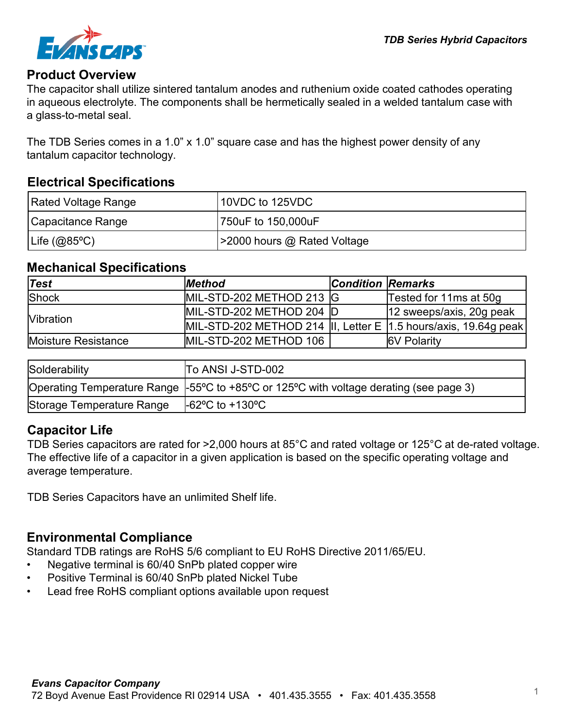

#### **Product Overview**

The capacitor shall utilize sintered tantalum anodes and ruthenium oxide coated cathodes operating in aqueous electrolyte. The components shall be hermetically sealed in a welded tantalum case with a glass-to-metal seal.

The TDB Series comes in a 1.0" x 1.0" square case and has the highest power density of any tantalum capacitor technology.

#### **Electrical Specifications**

| Rated Voltage Range | 10VDC to 125VDC             |
|---------------------|-----------------------------|
| Capacitance Range   | 750uF to 150,000uF          |
| $ $ Life (@85°C)    | >2000 hours @ Rated Voltage |

#### **Mechanical Specifications**

| Test                | <b>Method</b>                                                     | <b>Condition Remarks</b> |                          |
|---------------------|-------------------------------------------------------------------|--------------------------|--------------------------|
| Shock               | MIL-STD-202 METHOD 213 G                                          |                          | Tested for 11ms at 50g   |
|                     | MIL-STD-202 METHOD 204 D                                          |                          | 12 sweeps/axis, 20g peak |
| <b>Nibration</b>    | MIL-STD-202 METHOD 214  II, Letter E  1.5 hours/axis, 19.64g peak |                          |                          |
| Moisture Resistance | MIL-STD-202 METHOD 106                                            |                          | <b>6V Polarity</b>       |

| Solderability             | To ANSI J-STD-002                                                                       |
|---------------------------|-----------------------------------------------------------------------------------------|
|                           | Operating Temperature Range  -55°C to +85°C or 125°C with voltage derating (see page 3) |
| Storage Temperature Range | $-62^{\circ}$ C to $+130^{\circ}$ C                                                     |

### **Capacitor Life**

TDB Series capacitors are rated for >2,000 hours at 85°C and rated voltage or 125°C at de-rated voltage. The effective life of a capacitor in a given application is based on the specific operating voltage and average temperature.

TDB Series Capacitors have an unlimited Shelf life.

### **Environmental Compliance**

Standard TDB ratings are RoHS 5/6 compliant to EU RoHS Directive 2011/65/EU.

- Negative terminal is 60/40 SnPb plated copper wire
- Positive Terminal is 60/40 SnPb plated Nickel Tube
- Lead free RoHS compliant options available upon request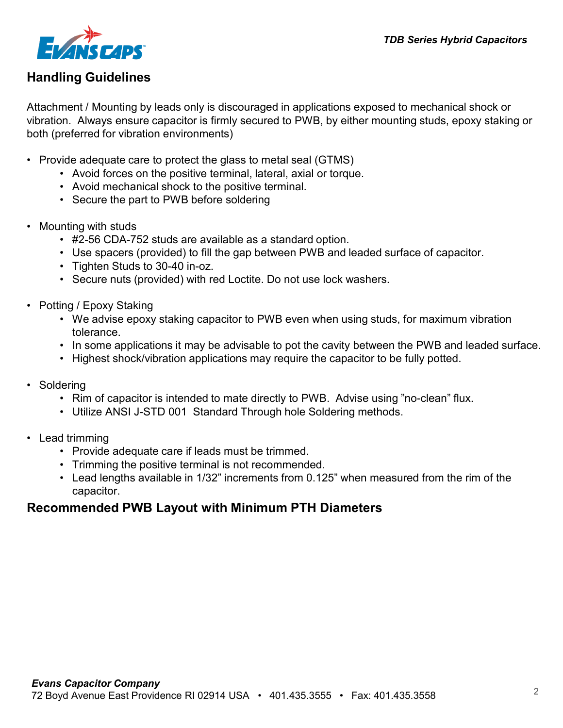

## **Handling Guidelines**

Attachment / Mounting by leads only is discouraged in applications exposed to mechanical shock or vibration. Always ensure capacitor is firmly secured to PWB, by either mounting studs, epoxy staking or both (preferred for vibration environments)

- Provide adequate care to protect the glass to metal seal (GTMS)
	- Avoid forces on the positive terminal, lateral, axial or torque.
	- Avoid mechanical shock to the positive terminal.
	- Secure the part to PWB before soldering
- Mounting with studs
	- #2-56 CDA-752 studs are available as a standard option.
	- Use spacers (provided) to fill the gap between PWB and leaded surface of capacitor.
	- Tighten Studs to 30-40 in-oz.
	- Secure nuts (provided) with red Loctite. Do not use lock washers.
- Potting / Epoxy Staking
	- We advise epoxy staking capacitor to PWB even when using studs, for maximum vibration tolerance.
	- In some applications it may be advisable to pot the cavity between the PWB and leaded surface.
	- Highest shock/vibration applications may require the capacitor to be fully potted.
- Soldering
	- Rim of capacitor is intended to mate directly to PWB. Advise using "no-clean" flux.
	- Utilize ANSI J-STD 001 Standard Through hole Soldering methods.
- Lead trimming
	- Provide adequate care if leads must be trimmed.
	- Trimming the positive terminal is not recommended.
	- Lead lengths available in 1/32" increments from 0.125" when measured from the rim of the capacitor.

### **Recommended PWB Layout with Minimum PTH Diameters**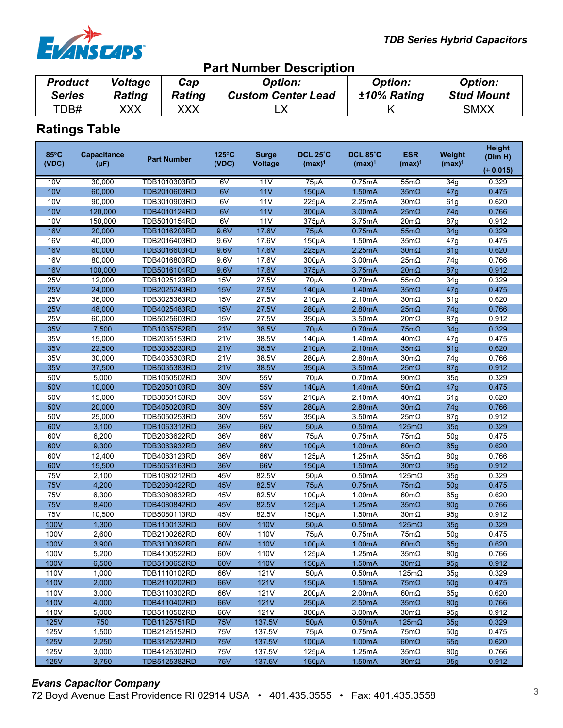

| <b>Part Number Description</b>                                                                                                                                                                                    |     |     |  |  |             |  |  |  |
|-------------------------------------------------------------------------------------------------------------------------------------------------------------------------------------------------------------------|-----|-----|--|--|-------------|--|--|--|
| <b>Product</b><br><b>Voltage</b><br><b>Option:</b><br><b>Option:</b><br><b>Option:</b><br>Cap<br><b>Stud Mount</b><br>±10% Rating<br><b>Custom Center Lead</b><br><b>Series</b><br><b>Rating</b><br><b>Rating</b> |     |     |  |  |             |  |  |  |
| TDB#                                                                                                                                                                                                              | XXX | XXX |  |  | <b>SMXX</b> |  |  |  |

# **Ratings Table**

| $85^{\circ}$ C | <b>Capacitance</b> | <b>Part Number</b> | $125^{\circ}$ C | <b>Surge</b>   | <b>DCL 25°C</b> | <b>DCL 85°C</b> | <b>ESR</b>          | Weight          | <b>Height</b><br>(Dim H) |
|----------------|--------------------|--------------------|-----------------|----------------|-----------------|-----------------|---------------------|-----------------|--------------------------|
| (VDC)          | $(\mu F)$          |                    | (VDC)           | <b>Voltage</b> | $(max)^1$       | $(max)^1$       | $(max)^1$           | $(max)^1$       | (± 0.015)                |
| 10V            | 30,000             | TDB1010303RD       | 6V              | 11V            | $75\mu A$       | 0.75mA          | $55m\Omega$         | 34g             | 0.329                    |
| <b>10V</b>     | 60,000             | TDB2010603RD       | 6V              | 11V            | $150\mu A$      | 1.50mA          | $35m\Omega$         | 47g             | 0.475                    |
| 10V            | 90,000             | TDB3010903RD       | 6V              | 11V            | $225\mu A$      | 2.25mA          | 30mΩ                | 61g             | 0.620                    |
| 10V            | 120,000            | TDB4010124RD       | 6V              | 11V            | $300\mu A$      | 3.00mA          | $25m\Omega$         | 74g             | 0.766                    |
| 10V            | 150,000            | TDB5010154RD       | 6V              | 11V            | 375µA           | 3.75mA          | $20m\Omega$         | 87g             | 0.912                    |
| <b>16V</b>     | 20,000             | TDB1016203RD       | 9.6V            | 17.6V          | $75\mu A$       | 0.75mA          | $55m\Omega$         | 34g             | 0.329                    |
| <b>16V</b>     | 40,000             | TDB2016403RD       | 9.6V            | 17.6V          | $150\mu A$      | 1.50mA          | $35m\Omega$         | 47g             | 0.475                    |
| <b>16V</b>     | 60,000             | TDB3016603RD       | 9.6V            | 17.6V          | $225\mu A$      | 2.25mA          | $30 \text{m}\Omega$ | 61g             | 0.620                    |
| <b>16V</b>     | 80,000             | TDB4016803RD       | 9.6V            | 17.6V          | 300µA           | 3.00mA          | $25m\Omega$         | 74g             | 0.766                    |
| 16V            | 100,000            | TDB5016104RD       | 9.6V            | 17.6V          | 375µA           | 3.75mA          | $20m\Omega$         | 87g             | 0.912                    |
| <b>25V</b>     | 12,000             | TDB1025123RD       | <b>15V</b>      | 27.5V          | $70\mu A$       | 0.70mA          | $55m\Omega$         | 34g             | 0.329                    |
| 25V            | 24,000             | TDB2025243RD       | 15V             | 27.5V          | $140\mu A$      | 1.40mA          | $35m\Omega$         | 47g             | 0.475                    |
| <b>25V</b>     | 36,000             | TDB3025363RD       | 15V             | 27.5V          | $210\mu A$      | 2.10mA          | $30m\Omega$         | 61g             | 0.620                    |
| 25V            | 48,000             | TDB4025483RD       | 15V             | 27.5V          | $280\mu A$      | 2.80mA          | $25m\Omega$         | 74g             | 0.766                    |
| <b>25V</b>     | 60,000             | TDB5025603RD       | 15V             | 27.5V          | 350µA           | 3.50mA          | $20m\Omega$         | 87 <sub>g</sub> | 0.912                    |
| <b>35V</b>     | 7,500              | TDB1035752RD       | 21V             | 38.5V          | $70\mu A$       | 0.70mA          | $75m\Omega$         | 34g             | 0.329                    |
| 35V            | 15,000             | TDB2035153RD       | 21V             | 38.5V          | 140µA           | 1.40mA          | $40m\Omega$         | 47g             | 0.475                    |
| <b>35V</b>     | 22,500             | TDB3035230RD       | 21V             | 38.5V          | $210\mu A$      | 2.10mA          | $35m\Omega$         | 61g             | 0.620                    |
| 35V            | 30,000             | TDB4035303RD       | 21V             | 38.5V          | $280\mu A$      | 2.80mA          | $30m\Omega$         | 74g             | 0.766                    |
| 35V            | 37,500             | TDB5035383RD       | 21V             | 38.5V          | 350µA           | 3.50mA          | $25m\Omega$         | 87g             | 0.912                    |
| 50V            | 5,000              | TDB1050502RD       | 30V             | 55V            | $70\mu A$       | 0.70mA          | $90m\Omega$         | 35g             | 0.329                    |
| 50V            | 10.000             | TDB2050103RD       | <b>30V</b>      | 55V            | $140\mu A$      | 1.40mA          | $50m\Omega$         | 47g             | 0.475                    |
| 50V            | 15,000             | TDB3050153RD       | 30V             | 55V            | $210\mu A$      | 2.10mA          | $40m\Omega$         | 61g             | 0.620                    |
| 50V            | 20,000             | TDB4050203RD       | <b>30V</b>      | 55V            | $280\mu A$      | 2.80mA          | $30m\Omega$         | 74g             | 0.766                    |
| 50V            | 25,000             | TDB5050253RD       | 30V             | 55V            | 350µA           | 3.50mA          | $25m\Omega$         | 87 <sub>g</sub> | 0.912                    |
| 60V            | 3,100              | TDB1063312RD       | <b>36V</b>      | 66V            | $50\mu A$       | 0.50mA          | $125m\Omega$        | 35g             | 0.329                    |
| 60V            | 6,200              | TDB2063622RD       | 36V             | 66V            | $75\mu A$       | 0.75mA          | $75m\Omega$         | 50 <sub>g</sub> | 0.475                    |
| 60V            | 9,300              | TDB3063932RD       | <b>36V</b>      | 66V            | $100\mu A$      | 1.00mA          | $60m\Omega$         | 65g             | 0.620                    |
| 60V            | 12,400             | TDB4063123RD       | 36V             | 66V            | $125\mu A$      | 1.25mA          | $35m\Omega$         | 80g             | 0.766                    |
| 60V            | 15,500             | TDB5063163RD       | 36V             | 66V            | $150\mu A$      | 1.50mA          | $30m\Omega$         | 95g             | 0.912                    |
| 75V            | 2,100              | TDB1080212RD       | 45V             | 82.5V          | $50\mu A$       | 0.50mA          | $125m\Omega$        | 35g             | 0.329                    |
| <b>75V</b>     | 4,200              | TDB2080422RD       | 45V             | 82.5V          | $75\mu A$       | 0.75mA          | $75m\Omega$         | 50 <sub>g</sub> | 0.475                    |
| 75V            | 6,300              | TDB3080632RD       | 45V             | 82.5V          | $100\mu A$      | 1.00mA          | $60m\Omega$         | 65g             | 0.620                    |
| <b>75V</b>     | 8,400              | TDB4080842RD       | 45V             | 82.5V          | $125\mu A$      | 1.25mA          | $35m\Omega$         | 80 <sub>g</sub> | 0.766                    |
| 75V            | 10,500             | TDB5080113RD       | 45V             | 82.5V          | $150\mu A$      | 1.50mA          | $30m\Omega$         | 95g             | 0.912                    |
| 100V           | 1,300              | TDB1100132RD       | 60V             | <b>110V</b>    | $50\mu A$       | 0.50mA          | $125m\Omega$        | 35g             | 0.329                    |
| 100V           | 2,600              | TDB2100262RD       | 60V             | 110V           | $75\mu A$       | 0.75mA          | $75m\Omega$         | 50 <sub>g</sub> | 0.475                    |
| 100V           | 3,900              | TDB3100392RD       | 60V             | <b>110V</b>    | 100µA           | 1.00mA          | $60m\Omega$         | 65g             | 0.620                    |
| 100V           | 5,200              | TDB4100522RD       | 60V             | 110V           | $125\mu A$      | 1.25mA          | $35m\Omega$         | 80g             | 0.766                    |
| 100V           | 6,500              | TDB5100652RD       | 60V             | 110V           | $150\mu A$      | 1.50mA          | $30m\Omega$         | 95g             | 0.912                    |
| 110V           | 1,000              | TDB1110102RD       | 66V             | 121V           | $50\mu A$       | 0.50mA          | $125m\Omega$        | 35g             | 0.329                    |
| <b>110V</b>    | 2,000              | TDB2110202RD       | 66V             | <b>121V</b>    | $150\mu A$      | 1.50mA          | $75m\Omega$         | 50 <sub>g</sub> | 0.475                    |
| 110V           | 3,000              | TDB3110302RD       | 66V             | 121V           | $200\mu A$      | 2.00mA          | $60m\Omega$         | 65g             | 0.620                    |
| <b>110V</b>    | 4,000              | TDB4110402RD       | 66V             | <b>121V</b>    | $250\mu A$      | 2.50mA          | $35m\Omega$         | <b>80g</b>      | 0.766                    |
| 110V           | 5,000              | TDB5110502RD       | 66V             | 121V           | 300µA           | 3.00mA          | $30m\Omega$         | 95 <sub>g</sub> | 0.912                    |
| <b>125V</b>    | 750                | TDB1125751RD       | <b>75V</b>      | 137.5V         | $50\mu A$       | 0.50mA          | $125m\Omega$        | 35g             | 0.329                    |
| 125V           | 1,500              | TDB2125152RD       | 75V             | 137.5V         | 75µA            | 0.75mA          | $75m\Omega$         | 50 <sub>g</sub> | 0.475                    |
| <b>125V</b>    | 2,250              | TDB3125232RD       | <b>75V</b>      | 137.5V         | $100\mu A$      | 1.00mA          | $60m\Omega$         | 65g             | 0.620                    |
| 125V           | 3,000              | TDB4125302RD       | <b>75V</b>      | 137.5V         | $125\mu A$      | 1.25mA          | $35m\Omega$         | 80g             | 0.766                    |
| <b>125V</b>    | 3,750              | TDB5125382RD       | <b>75V</b>      | 137.5V         | $150\mu A$      | 1.50mA          | $30m\Omega$         | 95g             | 0.912                    |